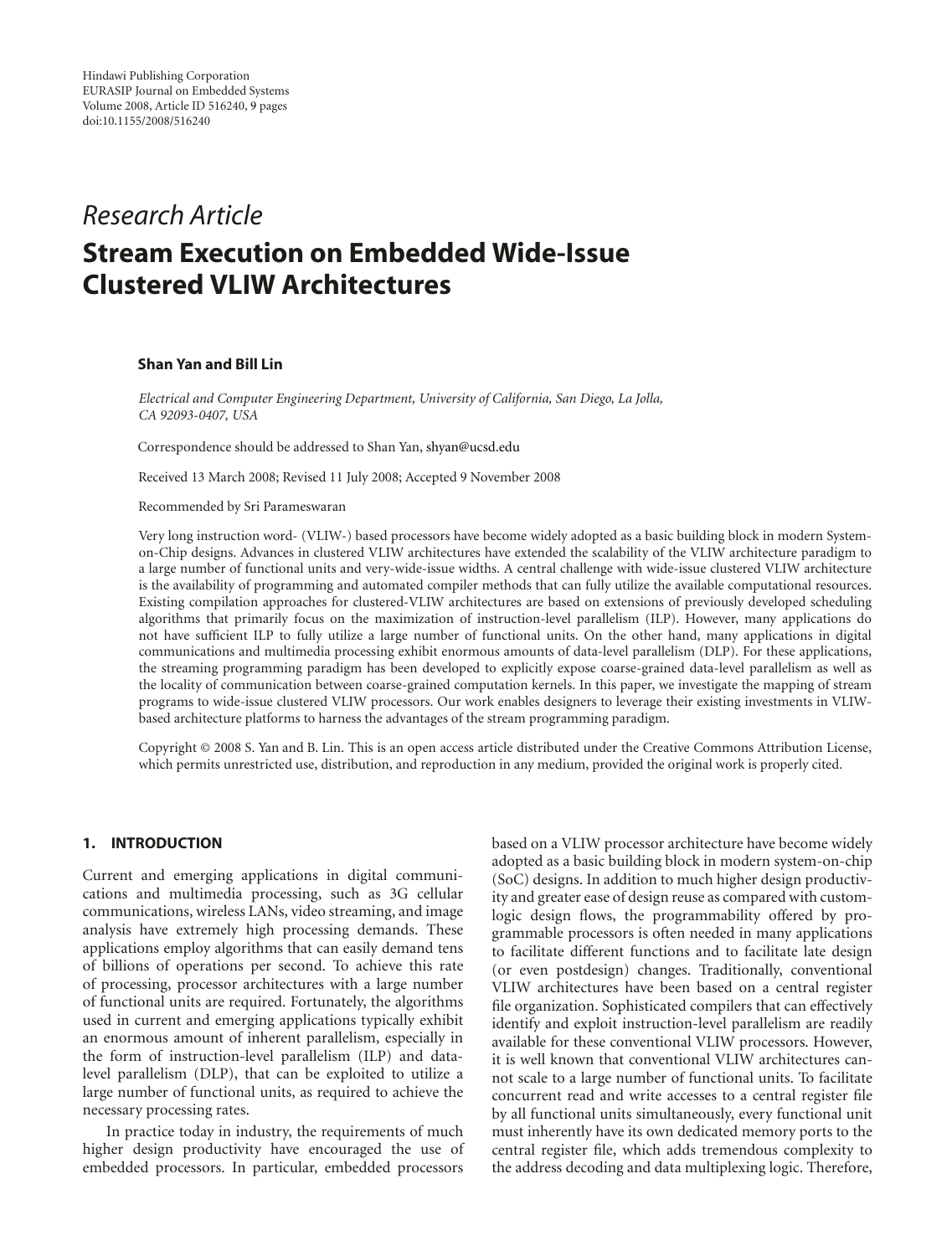# *Research Article* **Stream Execution on Embedded Wide-Issue Clustered VLIW Architectures**

## **Shan Yan and Bill Lin**

*Electrical and Computer Engineering Department, University of California, San Diego, La Jolla, CA 92093-0407, USA*

Correspondence should be addressed to Shan Yan, shyan@ucsd.edu

Received 13 March 2008; Revised 11 July 2008; Accepted 9 November 2008

Recommended by Sri Parameswaran

Very long instruction word- (VLIW-) based processors have become widely adopted as a basic building block in modern Systemon-Chip designs. Advances in clustered VLIW architectures have extended the scalability of the VLIW architecture paradigm to a large number of functional units and very-wide-issue widths. A central challenge with wide-issue clustered VLIW architecture is the availability of programming and automated compiler methods that can fully utilize the available computational resources. Existing compilation approaches for clustered-VLIW architectures are based on extensions of previously developed scheduling algorithms that primarily focus on the maximization of instruction-level parallelism (ILP). However, many applications do not have sufficient ILP to fully utilize a large number of functional units. On the other hand, many applications in digital communications and multimedia processing exhibit enormous amounts of data-level parallelism (DLP). For these applications, the streaming programming paradigm has been developed to explicitly expose coarse-grained data-level parallelism as well as the locality of communication between coarse-grained computation kernels. In this paper, we investigate the mapping of stream programs to wide-issue clustered VLIW processors. Our work enables designers to leverage their existing investments in VLIWbased architecture platforms to harness the advantages of the stream programming paradigm.

Copyright © 2008 S. Yan and B. Lin. This is an open access article distributed under the Creative Commons Attribution License, which permits unrestricted use, distribution, and reproduction in any medium, provided the original work is properly cited.

# **1. INTRODUCTION**

Current and emerging applications in digital communications and multimedia processing, such as 3G cellular communications, wireless LANs, video streaming, and image analysis have extremely high processing demands. These applications employ algorithms that can easily demand tens of billions of operations per second. To achieve this rate of processing, processor architectures with a large number of functional units are required. Fortunately, the algorithms used in current and emerging applications typically exhibit an enormous amount of inherent parallelism, especially in the form of instruction-level parallelism (ILP) and datalevel parallelism (DLP), that can be exploited to utilize a large number of functional units, as required to achieve the necessary processing rates.

In practice today in industry, the requirements of much higher design productivity have encouraged the use of embedded processors. In particular, embedded processors

based on a VLIW processor architecture have become widely adopted as a basic building block in modern system-on-chip (SoC) designs. In addition to much higher design productivity and greater ease of design reuse as compared with customlogic design flows, the programmability offered by programmable processors is often needed in many applications to facilitate different functions and to facilitate late design (or even postdesign) changes. Traditionally, conventional VLIW architectures have been based on a central register file organization. Sophisticated compilers that can effectively identify and exploit instruction-level parallelism are readily available for these conventional VLIW processors. However, it is well known that conventional VLIW architectures cannot scale to a large number of functional units. To facilitate concurrent read and write accesses to a central register file by all functional units simultaneously, every functional unit must inherently have its own dedicated memory ports to the central register file, which adds tremendous complexity to the address decoding and data multiplexing logic. Therefore,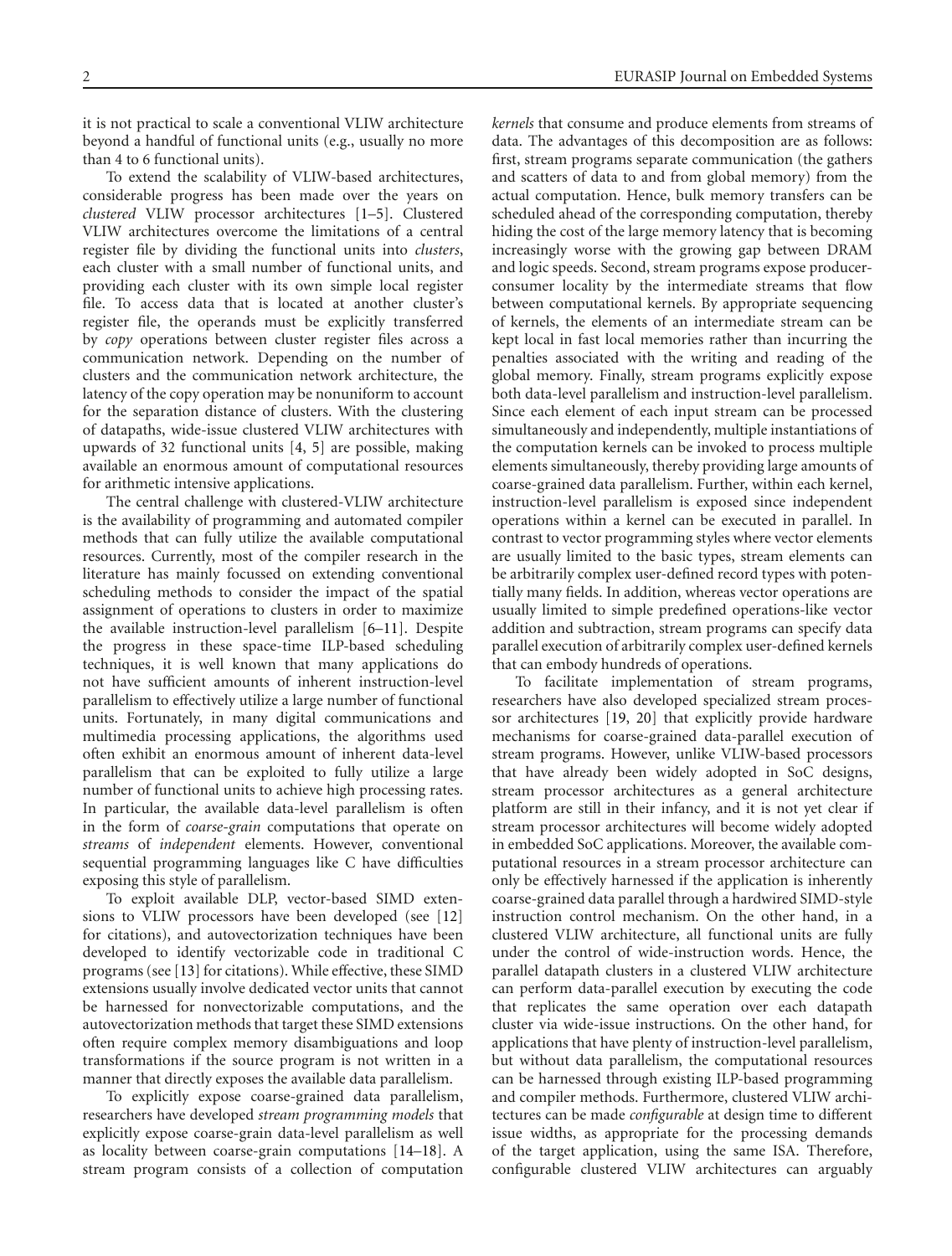it is not practical to scale a conventional VLIW architecture beyond a handful of functional units (e.g., usually no more than 4 to 6 functional units).

To extend the scalability of VLIW-based architectures, considerable progress has been made over the years on *clustered* VLIW processor architectures [1–5]. Clustered VLIW architectures overcome the limitations of a central register file by dividing the functional units into *clusters*, each cluster with a small number of functional units, and providing each cluster with its own simple local register file. To access data that is located at another cluster's register file, the operands must be explicitly transferred by *copy* operations between cluster register files across a communication network. Depending on the number of clusters and the communication network architecture, the latency of the copy operation may be nonuniform to account for the separation distance of clusters. With the clustering of datapaths, wide-issue clustered VLIW architectures with upwards of 32 functional units [4, 5] are possible, making available an enormous amount of computational resources for arithmetic intensive applications.

The central challenge with clustered-VLIW architecture is the availability of programming and automated compiler methods that can fully utilize the available computational resources. Currently, most of the compiler research in the literature has mainly focussed on extending conventional scheduling methods to consider the impact of the spatial assignment of operations to clusters in order to maximize the available instruction-level parallelism [6–11]. Despite the progress in these space-time ILP-based scheduling techniques, it is well known that many applications do not have sufficient amounts of inherent instruction-level parallelism to effectively utilize a large number of functional units. Fortunately, in many digital communications and multimedia processing applications, the algorithms used often exhibit an enormous amount of inherent data-level parallelism that can be exploited to fully utilize a large number of functional units to achieve high processing rates. In particular, the available data-level parallelism is often in the form of *coarse-grain* computations that operate on *streams* of *independent* elements. However, conventional sequential programming languages like C have difficulties exposing this style of parallelism.

To exploit available DLP, vector-based SIMD extensions to VLIW processors have been developed (see [12] for citations), and autovectorization techniques have been developed to identify vectorizable code in traditional C programs (see [13] for citations). While effective, these SIMD extensions usually involve dedicated vector units that cannot be harnessed for nonvectorizable computations, and the autovectorization methods that target these SIMD extensions often require complex memory disambiguations and loop transformations if the source program is not written in a manner that directly exposes the available data parallelism.

To explicitly expose coarse-grained data parallelism, researchers have developed *stream programming models* that explicitly expose coarse-grain data-level parallelism as well as locality between coarse-grain computations [14–18]. A stream program consists of a collection of computation *kernels* that consume and produce elements from streams of data. The advantages of this decomposition are as follows: first, stream programs separate communication (the gathers and scatters of data to and from global memory) from the actual computation. Hence, bulk memory transfers can be scheduled ahead of the corresponding computation, thereby hiding the cost of the large memory latency that is becoming increasingly worse with the growing gap between DRAM and logic speeds. Second, stream programs expose producerconsumer locality by the intermediate streams that flow between computational kernels. By appropriate sequencing of kernels, the elements of an intermediate stream can be kept local in fast local memories rather than incurring the penalties associated with the writing and reading of the global memory. Finally, stream programs explicitly expose both data-level parallelism and instruction-level parallelism. Since each element of each input stream can be processed simultaneously and independently, multiple instantiations of the computation kernels can be invoked to process multiple elements simultaneously, thereby providing large amounts of coarse-grained data parallelism. Further, within each kernel, instruction-level parallelism is exposed since independent operations within a kernel can be executed in parallel. In contrast to vector programming styles where vector elements are usually limited to the basic types, stream elements can be arbitrarily complex user-defined record types with potentially many fields. In addition, whereas vector operations are usually limited to simple predefined operations-like vector addition and subtraction, stream programs can specify data parallel execution of arbitrarily complex user-defined kernels that can embody hundreds of operations.

To facilitate implementation of stream programs, researchers have also developed specialized stream processor architectures [19, 20] that explicitly provide hardware mechanisms for coarse-grained data-parallel execution of stream programs. However, unlike VLIW-based processors that have already been widely adopted in SoC designs, stream processor architectures as a general architecture platform are still in their infancy, and it is not yet clear if stream processor architectures will become widely adopted in embedded SoC applications. Moreover, the available computational resources in a stream processor architecture can only be effectively harnessed if the application is inherently coarse-grained data parallel through a hardwired SIMD-style instruction control mechanism. On the other hand, in a clustered VLIW architecture, all functional units are fully under the control of wide-instruction words. Hence, the parallel datapath clusters in a clustered VLIW architecture can perform data-parallel execution by executing the code that replicates the same operation over each datapath cluster via wide-issue instructions. On the other hand, for applications that have plenty of instruction-level parallelism, but without data parallelism, the computational resources can be harnessed through existing ILP-based programming and compiler methods. Furthermore, clustered VLIW architectures can be made *configurable* at design time to different issue widths, as appropriate for the processing demands of the target application, using the same ISA. Therefore, configurable clustered VLIW architectures can arguably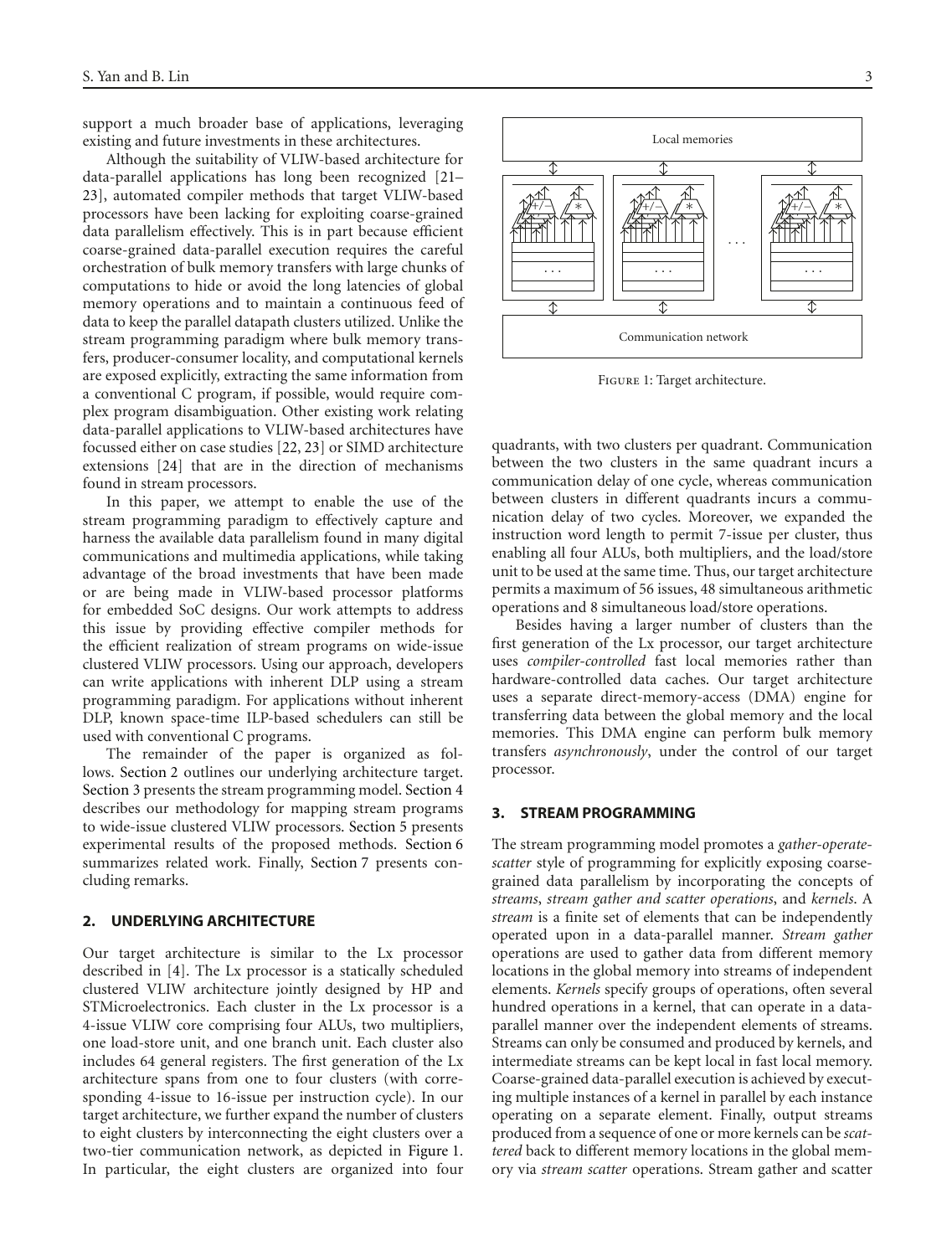support a much broader base of applications, leveraging existing and future investments in these architectures.

Although the suitability of VLIW-based architecture for data-parallel applications has long been recognized [21– 23], automated compiler methods that target VLIW-based processors have been lacking for exploiting coarse-grained data parallelism effectively. This is in part because efficient coarse-grained data-parallel execution requires the careful orchestration of bulk memory transfers with large chunks of computations to hide or avoid the long latencies of global memory operations and to maintain a continuous feed of data to keep the parallel datapath clusters utilized. Unlike the stream programming paradigm where bulk memory transfers, producer-consumer locality, and computational kernels are exposed explicitly, extracting the same information from a conventional C program, if possible, would require complex program disambiguation. Other existing work relating data-parallel applications to VLIW-based architectures have focussed either on case studies [22, 23] or SIMD architecture extensions [24] that are in the direction of mechanisms found in stream processors.

In this paper, we attempt to enable the use of the stream programming paradigm to effectively capture and harness the available data parallelism found in many digital communications and multimedia applications, while taking advantage of the broad investments that have been made or are being made in VLIW-based processor platforms for embedded SoC designs. Our work attempts to address this issue by providing effective compiler methods for the efficient realization of stream programs on wide-issue clustered VLIW processors. Using our approach, developers can write applications with inherent DLP using a stream programming paradigm. For applications without inherent DLP, known space-time ILP-based schedulers can still be used with conventional C programs.

The remainder of the paper is organized as follows. Section 2 outlines our underlying architecture target. Section 3 presents the stream programming model. Section 4 describes our methodology for mapping stream programs to wide-issue clustered VLIW processors. Section 5 presents experimental results of the proposed methods. Section 6 summarizes related work. Finally, Section 7 presents concluding remarks.

#### **2. UNDERLYING ARCHITECTURE**

Our target architecture is similar to the Lx processor described in [4]. The Lx processor is a statically scheduled clustered VLIW architecture jointly designed by HP and STMicroelectronics. Each cluster in the Lx processor is a 4-issue VLIW core comprising four ALUs, two multipliers, one load-store unit, and one branch unit. Each cluster also includes 64 general registers. The first generation of the Lx architecture spans from one to four clusters (with corresponding 4-issue to 16-issue per instruction cycle). In our target architecture, we further expand the number of clusters to eight clusters by interconnecting the eight clusters over a two-tier communication network, as depicted in Figure 1. In particular, the eight clusters are organized into four



Figure 1: Target architecture.

quadrants, with two clusters per quadrant. Communication between the two clusters in the same quadrant incurs a communication delay of one cycle, whereas communication between clusters in different quadrants incurs a communication delay of two cycles. Moreover, we expanded the instruction word length to permit 7-issue per cluster, thus enabling all four ALUs, both multipliers, and the load/store unit to be used at the same time. Thus, our target architecture permits a maximum of 56 issues, 48 simultaneous arithmetic operations and 8 simultaneous load/store operations.

Besides having a larger number of clusters than the first generation of the Lx processor, our target architecture uses *compiler-controlled* fast local memories rather than hardware-controlled data caches. Our target architecture uses a separate direct-memory-access (DMA) engine for transferring data between the global memory and the local memories. This DMA engine can perform bulk memory transfers *asynchronously*, under the control of our target processor.

#### **3. STREAM PROGRAMMING**

The stream programming model promotes a *gather-operatescatter* style of programming for explicitly exposing coarsegrained data parallelism by incorporating the concepts of *streams*, *stream gather and scatter operations*, and *kernels*. A *stream* is a finite set of elements that can be independently operated upon in a data-parallel manner. *Stream gather* operations are used to gather data from different memory locations in the global memory into streams of independent elements. *Kernels* specify groups of operations, often several hundred operations in a kernel, that can operate in a dataparallel manner over the independent elements of streams. Streams can only be consumed and produced by kernels, and intermediate streams can be kept local in fast local memory. Coarse-grained data-parallel execution is achieved by executing multiple instances of a kernel in parallel by each instance operating on a separate element. Finally, output streams produced from a sequence of one or more kernels can be *scattered* back to different memory locations in the global memory via *stream scatter* operations. Stream gather and scatter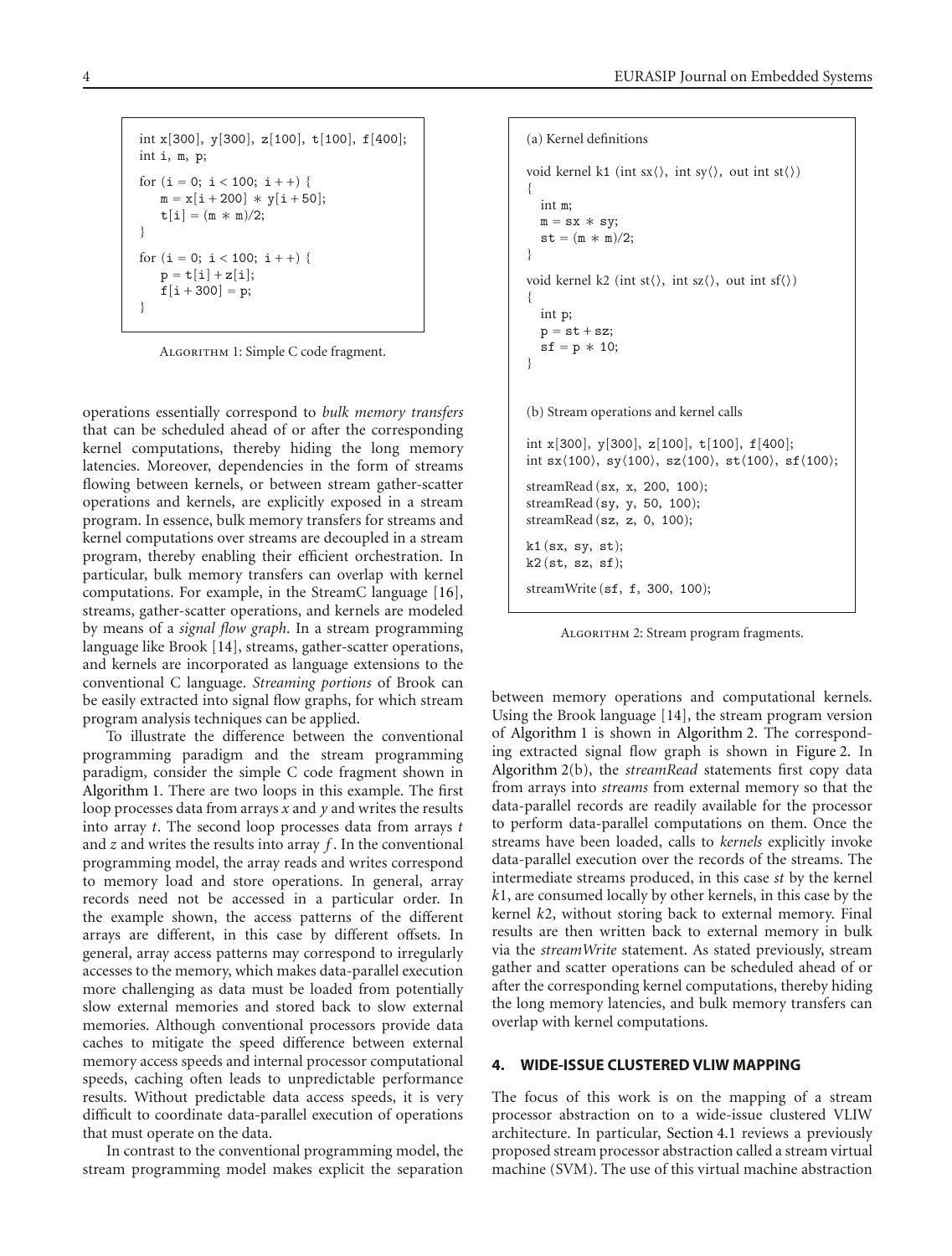```
int x[300], y[300], z[100], t[100], f[400];
int i, m, p;
for (i = 0; i < 100; i++) {
   m = x[i + 200] * y[i + 50];t[i] = (m * m)/2;}
for (i = 0; i < 100; i++) {
   p = t[i] + z[i];f[i + 300] = p;}
```
ALGORITHM 1: Simple C code fragment.

operations essentially correspond to *bulk memory transfers* that can be scheduled ahead of or after the corresponding kernel computations, thereby hiding the long memory latencies. Moreover, dependencies in the form of streams flowing between kernels, or between stream gather-scatter operations and kernels, are explicitly exposed in a stream program. In essence, bulk memory transfers for streams and kernel computations over streams are decoupled in a stream program, thereby enabling their efficient orchestration. In particular, bulk memory transfers can overlap with kernel computations. For example, in the StreamC language [16], streams, gather-scatter operations, and kernels are modeled by means of a *signal flow graph*. In a stream programming language like Brook [14], streams, gather-scatter operations, and kernels are incorporated as language extensions to the conventional C language. *Streaming portions* of Brook can be easily extracted into signal flow graphs, for which stream program analysis techniques can be applied.

To illustrate the difference between the conventional programming paradigm and the stream programming paradigm, consider the simple C code fragment shown in Algorithm 1. There are two loops in this example. The first loop processes data from arrays *x* and *y* and writes the results into array *t*. The second loop processes data from arrays *t* and *z* and writes the results into array *f* . In the conventional programming model, the array reads and writes correspond to memory load and store operations. In general, array records need not be accessed in a particular order. In the example shown, the access patterns of the different arrays are different, in this case by different offsets. In general, array access patterns may correspond to irregularly accesses to the memory, which makes data-parallel execution more challenging as data must be loaded from potentially slow external memories and stored back to slow external memories. Although conventional processors provide data caches to mitigate the speed difference between external memory access speeds and internal processor computational speeds, caching often leads to unpredictable performance results. Without predictable data access speeds, it is very difficult to coordinate data-parallel execution of operations that must operate on the data.

In contrast to the conventional programming model, the stream programming model makes explicit the separation

```
(a) Kernel definitions
void kernel k1 (int sx\langle \rangle, int sy\langle \rangle, out int st\langle \rangle)
{
   int m;
   m = sx * sy;st = (m * m)/2;}
void kernel k2 (int st\langle \rangle, int sz\langle \rangle, out int sf\langle \rangle)
{
   int p;
   p = st + sz;sf = p * 10;}
(b) Stream operations and kernel calls
int x[300], y[300], z[100], t[100], f[400];
int sx\langle 100 \rangle, sy\langle 100 \rangle, sz\langle 100 \rangle, st\langle 100 \rangle, sf\langle 100 \rangle;
streamRead (sx, x, 200, 100);
streamRead (sy, y, 50, 100);
streamRead (sz, z, 0, 100);
k1 (sx, sy, st);
k2 (st, sz, sf);
streamWrite (sf, f, 300, 100);
```
ALGORITHM 2: Stream program fragments.

between memory operations and computational kernels. Using the Brook language [14], the stream program version of Algorithm 1 is shown in Algorithm 2. The corresponding extracted signal flow graph is shown in Figure 2. In Algorithm 2(b), the *streamRead* statements first copy data from arrays into *streams* from external memory so that the data-parallel records are readily available for the processor to perform data-parallel computations on them. Once the streams have been loaded, calls to *kernels* explicitly invoke data-parallel execution over the records of the streams. The intermediate streams produced, in this case *st* by the kernel *k*1, are consumed locally by other kernels, in this case by the kernel *k*2, without storing back to external memory. Final results are then written back to external memory in bulk via the *streamWrite* statement. As stated previously, stream gather and scatter operations can be scheduled ahead of or after the corresponding kernel computations, thereby hiding the long memory latencies, and bulk memory transfers can overlap with kernel computations.

# **4. WIDE-ISSUE CLUSTERED VLIW MAPPING**

The focus of this work is on the mapping of a stream processor abstraction on to a wide-issue clustered VLIW architecture. In particular, Section 4.1 reviews a previously proposed stream processor abstraction called a stream virtual machine (SVM). The use of this virtual machine abstraction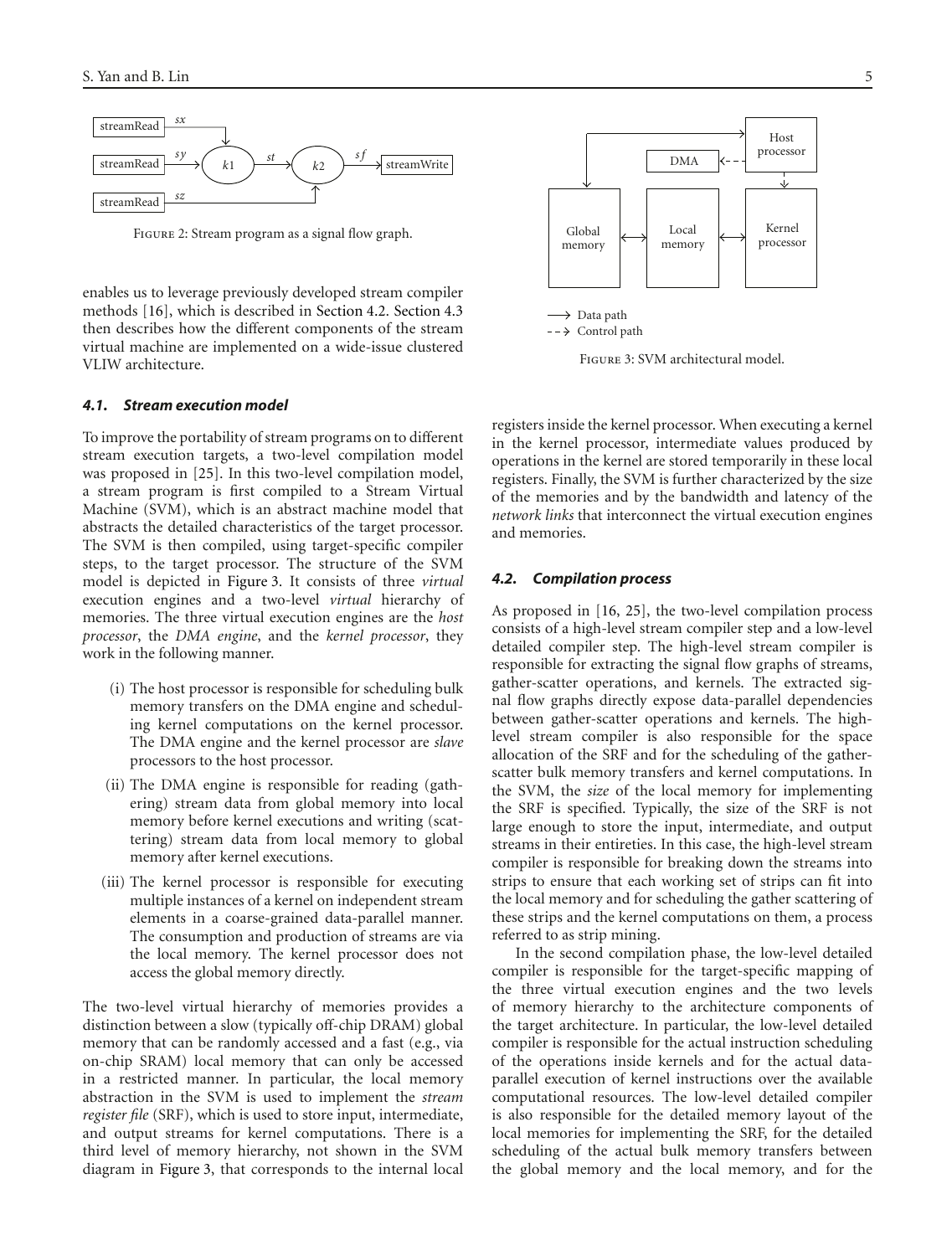

Figure 2: Stream program as a signal flow graph.

enables us to leverage previously developed stream compiler methods [16], which is described in Section 4.2. Section 4.3 then describes how the different components of the stream virtual machine are implemented on a wide-issue clustered VLIW architecture.

#### *4.1. Stream execution model*

To improve the portability of stream programs on to different stream execution targets, a two-level compilation model was proposed in [25]. In this two-level compilation model, a stream program is first compiled to a Stream Virtual Machine (SVM), which is an abstract machine model that abstracts the detailed characteristics of the target processor. The SVM is then compiled, using target-specific compiler steps, to the target processor. The structure of the SVM model is depicted in Figure 3. It consists of three *virtual* execution engines and a two-level *virtual* hierarchy of memories. The three virtual execution engines are the *host processor*, the *DMA engine*, and the *kernel processor*, they work in the following manner.

- (i) The host processor is responsible for scheduling bulk memory transfers on the DMA engine and scheduling kernel computations on the kernel processor. The DMA engine and the kernel processor are *slave* processors to the host processor.
- (ii) The DMA engine is responsible for reading (gathering) stream data from global memory into local memory before kernel executions and writing (scattering) stream data from local memory to global memory after kernel executions.
- (iii) The kernel processor is responsible for executing multiple instances of a kernel on independent stream elements in a coarse-grained data-parallel manner. The consumption and production of streams are via the local memory. The kernel processor does not access the global memory directly.

The two-level virtual hierarchy of memories provides a distinction between a slow (typically off-chip DRAM) global memory that can be randomly accessed and a fast (e.g., via on-chip SRAM) local memory that can only be accessed in a restricted manner. In particular, the local memory abstraction in the SVM is used to implement the *stream register file* (SRF), which is used to store input, intermediate, and output streams for kernel computations. There is a third level of memory hierarchy, not shown in the SVM diagram in Figure 3, that corresponds to the internal local



Figure 3: SVM architectural model.

registers inside the kernel processor. When executing a kernel in the kernel processor, intermediate values produced by operations in the kernel are stored temporarily in these local registers. Finally, the SVM is further characterized by the size of the memories and by the bandwidth and latency of the *network links* that interconnect the virtual execution engines and memories.

#### *4.2. Compilation process*

As proposed in [16, 25], the two-level compilation process consists of a high-level stream compiler step and a low-level detailed compiler step. The high-level stream compiler is responsible for extracting the signal flow graphs of streams, gather-scatter operations, and kernels. The extracted signal flow graphs directly expose data-parallel dependencies between gather-scatter operations and kernels. The highlevel stream compiler is also responsible for the space allocation of the SRF and for the scheduling of the gatherscatter bulk memory transfers and kernel computations. In the SVM, the *size* of the local memory for implementing the SRF is specified. Typically, the size of the SRF is not large enough to store the input, intermediate, and output streams in their entireties. In this case, the high-level stream compiler is responsible for breaking down the streams into strips to ensure that each working set of strips can fit into the local memory and for scheduling the gather scattering of these strips and the kernel computations on them, a process referred to as strip mining.

In the second compilation phase, the low-level detailed compiler is responsible for the target-specific mapping of the three virtual execution engines and the two levels of memory hierarchy to the architecture components of the target architecture. In particular, the low-level detailed compiler is responsible for the actual instruction scheduling of the operations inside kernels and for the actual dataparallel execution of kernel instructions over the available computational resources. The low-level detailed compiler is also responsible for the detailed memory layout of the local memories for implementing the SRF, for the detailed scheduling of the actual bulk memory transfers between the global memory and the local memory, and for the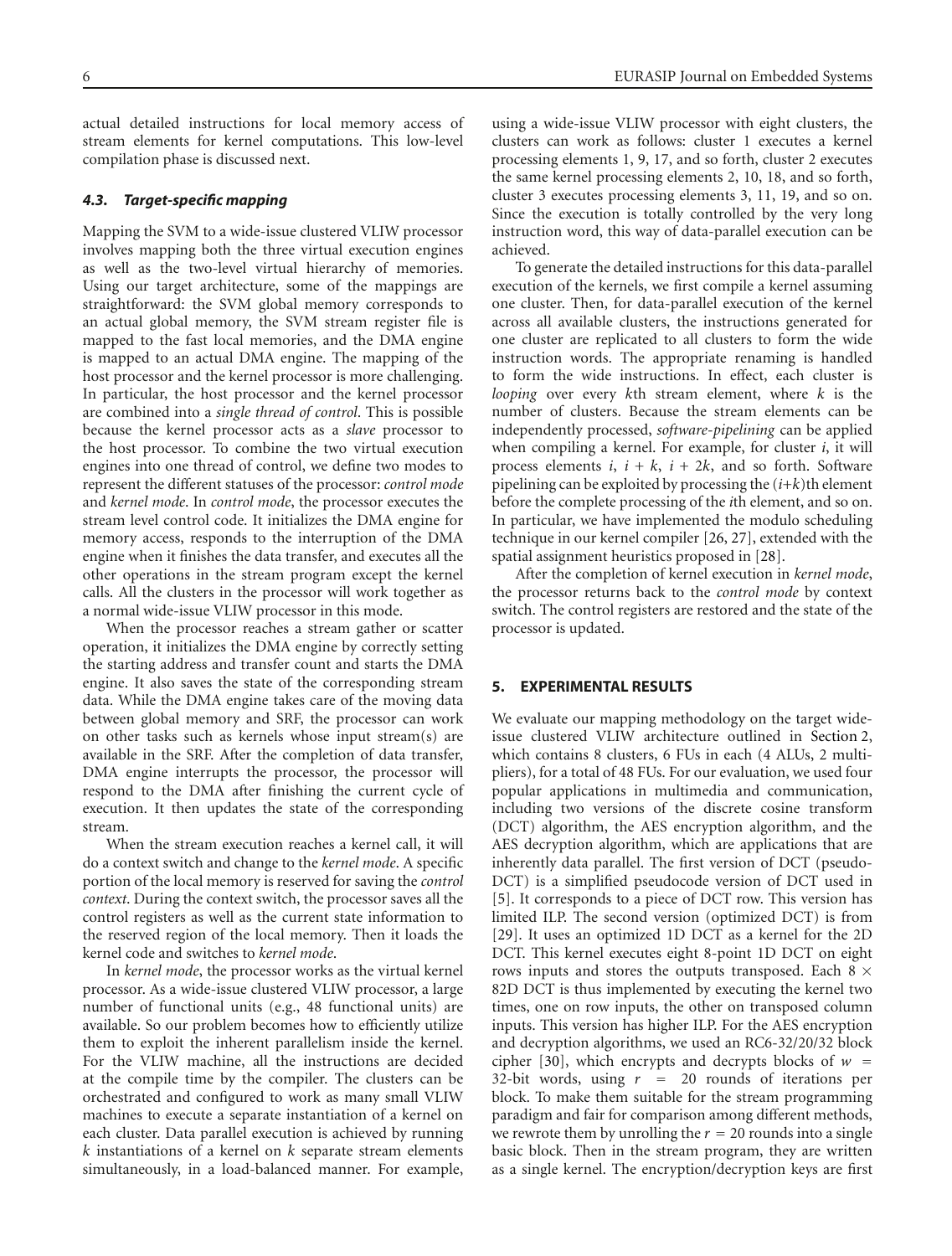actual detailed instructions for local memory access of stream elements for kernel computations. This low-level compilation phase is discussed next.

#### *4.3. Target-specific mapping*

Mapping the SVM to a wide-issue clustered VLIW processor involves mapping both the three virtual execution engines as well as the two-level virtual hierarchy of memories. Using our target architecture, some of the mappings are straightforward: the SVM global memory corresponds to an actual global memory, the SVM stream register file is mapped to the fast local memories, and the DMA engine is mapped to an actual DMA engine. The mapping of the host processor and the kernel processor is more challenging. In particular, the host processor and the kernel processor are combined into a *single thread of control*. This is possible because the kernel processor acts as a *slave* processor to the host processor. To combine the two virtual execution engines into one thread of control, we define two modes to represent the different statuses of the processor: *control mode* and *kernel mode*. In *control mode*, the processor executes the stream level control code. It initializes the DMA engine for memory access, responds to the interruption of the DMA engine when it finishes the data transfer, and executes all the other operations in the stream program except the kernel calls. All the clusters in the processor will work together as a normal wide-issue VLIW processor in this mode.

When the processor reaches a stream gather or scatter operation, it initializes the DMA engine by correctly setting the starting address and transfer count and starts the DMA engine. It also saves the state of the corresponding stream data. While the DMA engine takes care of the moving data between global memory and SRF, the processor can work on other tasks such as kernels whose input stream(s) are available in the SRF. After the completion of data transfer, DMA engine interrupts the processor, the processor will respond to the DMA after finishing the current cycle of execution. It then updates the state of the corresponding stream.

When the stream execution reaches a kernel call, it will do a context switch and change to the *kernel mode*. A specific portion of the local memory is reserved for saving the *control context*. During the context switch, the processor saves all the control registers as well as the current state information to the reserved region of the local memory. Then it loads the kernel code and switches to *kernel mode*.

In *kernel mode*, the processor works as the virtual kernel processor. As a wide-issue clustered VLIW processor, a large number of functional units (e.g., 48 functional units) are available. So our problem becomes how to efficiently utilize them to exploit the inherent parallelism inside the kernel. For the VLIW machine, all the instructions are decided at the compile time by the compiler. The clusters can be orchestrated and configured to work as many small VLIW machines to execute a separate instantiation of a kernel on each cluster. Data parallel execution is achieved by running *k* instantiations of a kernel on *k* separate stream elements simultaneously, in a load-balanced manner. For example,

using a wide-issue VLIW processor with eight clusters, the clusters can work as follows: cluster 1 executes a kernel processing elements 1, 9, 17, and so forth, cluster 2 executes the same kernel processing elements 2, 10, 18, and so forth, cluster 3 executes processing elements 3, 11, 19, and so on. Since the execution is totally controlled by the very long instruction word, this way of data-parallel execution can be achieved.

To generate the detailed instructions for this data-parallel execution of the kernels, we first compile a kernel assuming one cluster. Then, for data-parallel execution of the kernel across all available clusters, the instructions generated for one cluster are replicated to all clusters to form the wide instruction words. The appropriate renaming is handled to form the wide instructions. In effect, each cluster is *looping* over every *k*th stream element, where *k* is the number of clusters. Because the stream elements can be independently processed, *software-pipelining* can be applied when compiling a kernel. For example, for cluster *i*, it will process elements  $i$ ,  $i + k$ ,  $i + 2k$ , and so forth. Software pipelining can be exploited by processing the  $(i+k)$ th element before the complete processing of the *i*th element, and so on. In particular, we have implemented the modulo scheduling technique in our kernel compiler [26, 27], extended with the spatial assignment heuristics proposed in [28].

After the completion of kernel execution in *kernel mode*, the processor returns back to the *control mode* by context switch. The control registers are restored and the state of the processor is updated.

#### **5. EXPERIMENTAL RESULTS**

We evaluate our mapping methodology on the target wideissue clustered VLIW architecture outlined in Section 2, which contains 8 clusters, 6 FUs in each (4 ALUs, 2 multipliers), for a total of 48 FUs. For our evaluation, we used four popular applications in multimedia and communication, including two versions of the discrete cosine transform (DCT) algorithm, the AES encryption algorithm, and the AES decryption algorithm, which are applications that are inherently data parallel. The first version of DCT (pseudo-DCT) is a simplified pseudocode version of DCT used in [5]. It corresponds to a piece of DCT row. This version has limited ILP. The second version (optimized DCT) is from [29]. It uses an optimized 1D DCT as a kernel for the 2D DCT. This kernel executes eight 8-point 1D DCT on eight rows inputs and stores the outputs transposed. Each  $8 \times$ 82D DCT is thus implemented by executing the kernel two times, one on row inputs, the other on transposed column inputs. This version has higher ILP. For the AES encryption and decryption algorithms, we used an RC6-32/20/32 block cipher [30], which encrypts and decrypts blocks of  $w =$ 32-bit words, using  $r = 20$  rounds of iterations per block. To make them suitable for the stream programming paradigm and fair for comparison among different methods, we rewrote them by unrolling the  $r = 20$  rounds into a single basic block. Then in the stream program, they are written as a single kernel. The encryption/decryption keys are first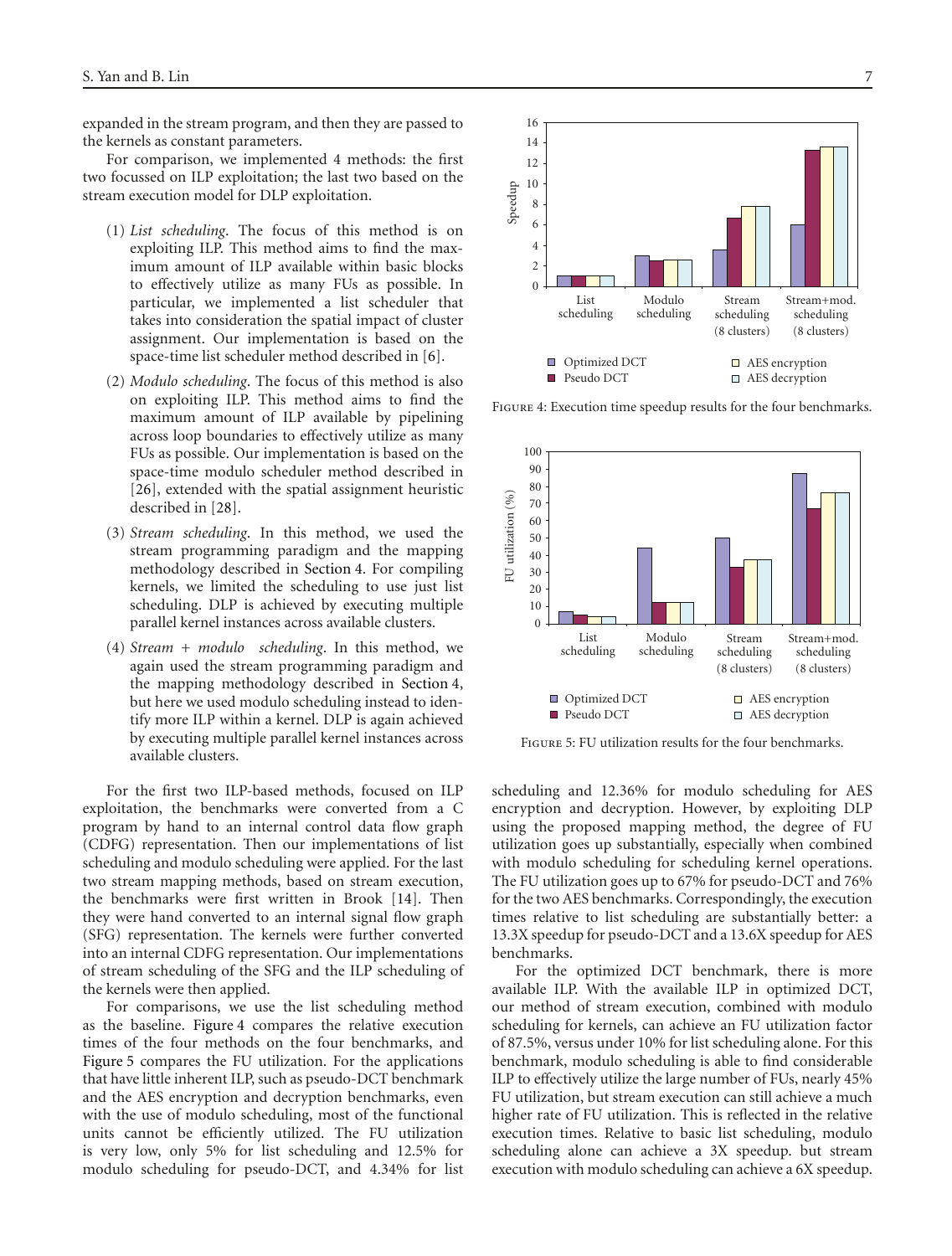expanded in the stream program, and then they are passed to the kernels as constant parameters.

For comparison, we implemented 4 methods: the first two focussed on ILP exploitation; the last two based on the stream execution model for DLP exploitation.

- (1) *List scheduling*. The focus of this method is on exploiting ILP. This method aims to find the maximum amount of ILP available within basic blocks to effectively utilize as many FUs as possible. In particular, we implemented a list scheduler that takes into consideration the spatial impact of cluster assignment. Our implementation is based on the space-time list scheduler method described in [6].
- (2) *Modulo scheduling*. The focus of this method is also on exploiting ILP. This method aims to find the maximum amount of ILP available by pipelining across loop boundaries to effectively utilize as many FUs as possible. Our implementation is based on the space-time modulo scheduler method described in [26], extended with the spatial assignment heuristic described in [28].
- (3) *Stream scheduling*. In this method, we used the stream programming paradigm and the mapping methodology described in Section 4. For compiling kernels, we limited the scheduling to use just list scheduling. DLP is achieved by executing multiple parallel kernel instances across available clusters.
- (4) *Stream* + *modulo scheduling*. In this method, we again used the stream programming paradigm and the mapping methodology described in Section 4, but here we used modulo scheduling instead to identify more ILP within a kernel. DLP is again achieved by executing multiple parallel kernel instances across available clusters.

For the first two ILP-based methods, focused on ILP exploitation, the benchmarks were converted from a C program by hand to an internal control data flow graph (CDFG) representation. Then our implementations of list scheduling and modulo scheduling were applied. For the last two stream mapping methods, based on stream execution, the benchmarks were first written in Brook [14]. Then they were hand converted to an internal signal flow graph (SFG) representation. The kernels were further converted into an internal CDFG representation. Our implementations of stream scheduling of the SFG and the ILP scheduling of the kernels were then applied.

For comparisons, we use the list scheduling method as the baseline. Figure 4 compares the relative execution times of the four methods on the four benchmarks, and Figure 5 compares the FU utilization. For the applications that have little inherent ILP, such as pseudo-DCT benchmark and the AES encryption and decryption benchmarks, even with the use of modulo scheduling, most of the functional units cannot be efficiently utilized. The FU utilization is very low, only 5% for list scheduling and 12.5% for modulo scheduling for pseudo-DCT, and 4.34% for list

FIGURE 4: Execution time speedup results for the four benchmarks.



Figure 5: FU utilization results for the four benchmarks.

scheduling and 12.36% for modulo scheduling for AES encryption and decryption. However, by exploiting DLP using the proposed mapping method, the degree of FU utilization goes up substantially, especially when combined with modulo scheduling for scheduling kernel operations. The FU utilization goes up to 67% for pseudo-DCT and 76% for the two AES benchmarks. Correspondingly, the execution times relative to list scheduling are substantially better: a 13.3X speedup for pseudo-DCT and a 13.6X speedup for AES benchmarks.

For the optimized DCT benchmark, there is more available ILP. With the available ILP in optimized DCT, our method of stream execution, combined with modulo scheduling for kernels, can achieve an FU utilization factor of 87.5%, versus under 10% for list scheduling alone. For this benchmark, modulo scheduling is able to find considerable ILP to effectively utilize the large number of FUs, nearly 45% FU utilization, but stream execution can still achieve a much higher rate of FU utilization. This is reflected in the relative execution times. Relative to basic list scheduling, modulo scheduling alone can achieve a 3X speedup. but stream execution with modulo scheduling can achieve a 6X speedup.

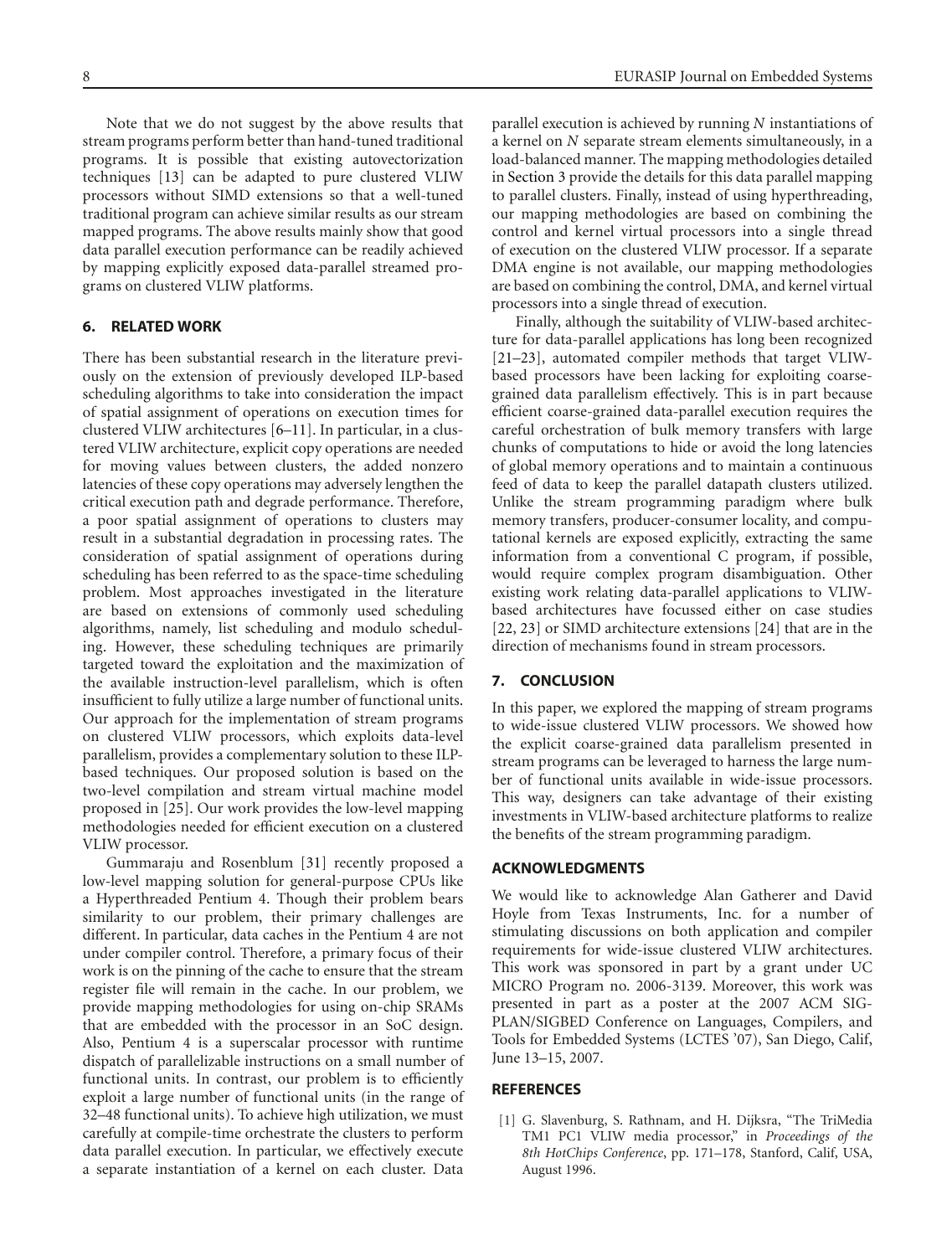Note that we do not suggest by the above results that stream programs perform better than hand-tuned traditional programs. It is possible that existing autovectorization techniques [13] can be adapted to pure clustered VLIW processors without SIMD extensions so that a well-tuned traditional program can achieve similar results as our stream mapped programs. The above results mainly show that good data parallel execution performance can be readily achieved by mapping explicitly exposed data-parallel streamed programs on clustered VLIW platforms.

### **6. RELATED WORK**

There has been substantial research in the literature previously on the extension of previously developed ILP-based scheduling algorithms to take into consideration the impact of spatial assignment of operations on execution times for clustered VLIW architectures [6–11]. In particular, in a clustered VLIW architecture, explicit copy operations are needed for moving values between clusters, the added nonzero latencies of these copy operations may adversely lengthen the critical execution path and degrade performance. Therefore, a poor spatial assignment of operations to clusters may result in a substantial degradation in processing rates. The consideration of spatial assignment of operations during scheduling has been referred to as the space-time scheduling problem. Most approaches investigated in the literature are based on extensions of commonly used scheduling algorithms, namely, list scheduling and modulo scheduling. However, these scheduling techniques are primarily targeted toward the exploitation and the maximization of the available instruction-level parallelism, which is often insufficient to fully utilize a large number of functional units. Our approach for the implementation of stream programs on clustered VLIW processors, which exploits data-level parallelism, provides a complementary solution to these ILPbased techniques. Our proposed solution is based on the two-level compilation and stream virtual machine model proposed in [25]. Our work provides the low-level mapping methodologies needed for efficient execution on a clustered VLIW processor.

Gummaraju and Rosenblum [31] recently proposed a low-level mapping solution for general-purpose CPUs like a Hyperthreaded Pentium 4. Though their problem bears similarity to our problem, their primary challenges are different. In particular, data caches in the Pentium 4 are not under compiler control. Therefore, a primary focus of their work is on the pinning of the cache to ensure that the stream register file will remain in the cache. In our problem, we provide mapping methodologies for using on-chip SRAMs that are embedded with the processor in an SoC design. Also, Pentium 4 is a superscalar processor with runtime dispatch of parallelizable instructions on a small number of functional units. In contrast, our problem is to efficiently exploit a large number of functional units (in the range of 32–48 functional units). To achieve high utilization, we must carefully at compile-time orchestrate the clusters to perform data parallel execution. In particular, we effectively execute a separate instantiation of a kernel on each cluster. Data parallel execution is achieved by running *N* instantiations of a kernel on *N* separate stream elements simultaneously, in a load-balanced manner. The mapping methodologies detailed in Section 3 provide the details for this data parallel mapping to parallel clusters. Finally, instead of using hyperthreading, our mapping methodologies are based on combining the control and kernel virtual processors into a single thread of execution on the clustered VLIW processor. If a separate DMA engine is not available, our mapping methodologies are based on combining the control, DMA, and kernel virtual processors into a single thread of execution.

Finally, although the suitability of VLIW-based architecture for data-parallel applications has long been recognized [21–23], automated compiler methods that target VLIWbased processors have been lacking for exploiting coarsegrained data parallelism effectively. This is in part because efficient coarse-grained data-parallel execution requires the careful orchestration of bulk memory transfers with large chunks of computations to hide or avoid the long latencies of global memory operations and to maintain a continuous feed of data to keep the parallel datapath clusters utilized. Unlike the stream programming paradigm where bulk memory transfers, producer-consumer locality, and computational kernels are exposed explicitly, extracting the same information from a conventional C program, if possible, would require complex program disambiguation. Other existing work relating data-parallel applications to VLIWbased architectures have focussed either on case studies [22, 23] or SIMD architecture extensions [24] that are in the direction of mechanisms found in stream processors.

### **7. CONCLUSION**

In this paper, we explored the mapping of stream programs to wide-issue clustered VLIW processors. We showed how the explicit coarse-grained data parallelism presented in stream programs can be leveraged to harness the large number of functional units available in wide-issue processors. This way, designers can take advantage of their existing investments in VLIW-based architecture platforms to realize the benefits of the stream programming paradigm.

#### **ACKNOWLEDGMENTS**

We would like to acknowledge Alan Gatherer and David Hoyle from Texas Instruments, Inc. for a number of stimulating discussions on both application and compiler requirements for wide-issue clustered VLIW architectures. This work was sponsored in part by a grant under UC MICRO Program no. 2006-3139. Moreover, this work was presented in part as a poster at the 2007 ACM SIG-PLAN/SIGBED Conference on Languages, Compilers, and Tools for Embedded Systems (LCTES '07), San Diego, Calif, June 13–15, 2007.

# **REFERENCES**

[1] G. Slavenburg, S. Rathnam, and H. Dijksra, "The TriMedia TM1 PC1 VLIW media processor," in *Proceedings of the 8th HotChips Conference*, pp. 171–178, Stanford, Calif, USA, August 1996.